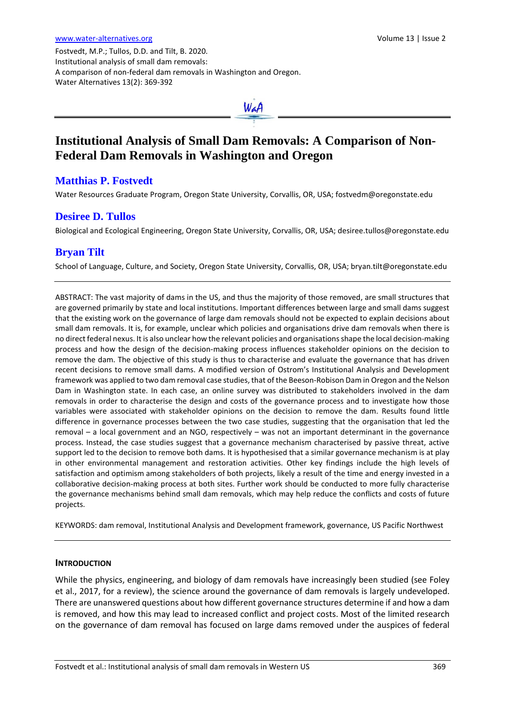Fostvedt, M.P.; Tullos, D.D. and Tilt, B. 2020. Institutional analysis of small dam removals: A comparison of non-federal dam removals in Washington and Oregon. Water Alternatives 13(2): 369-392

# WaA

# **Institutional Analysis of Small Dam Removals: A Comparison of Non-Federal Dam Removals in Washington and Oregon**

# **Matthias P. Fostvedt**

Water Resources Graduate Program, Oregon State University, Corvallis, OR, USA; fostvedm@oregonstate.edu

# **Desiree D. Tullos**

Biological and Ecological Engineering, Oregon State University, Corvallis, OR, USA; desiree.tullos@oregonstate.edu

# **Bryan Tilt**

School of Language, Culture, and Society, Oregon State University, Corvallis, OR, USA; bryan.tilt@oregonstate.edu

ABSTRACT: The vast majority of dams in the US, and thus the majority of those removed, are small structures that are governed primarily by state and local institutions. Important differences between large and small dams suggest that the existing work on the governance of large dam removals should not be expected to explain decisions about small dam removals. It is, for example, unclear which policies and organisations drive dam removals when there is no direct federal nexus. It is also unclear how the relevant policies and organisations shape the local decision-making process and how the design of the decision-making process influences stakeholder opinions on the decision to remove the dam. The objective of this study is thus to characterise and evaluate the governance that has driven recent decisions to remove small dams. A modified version of Ostrom's Institutional Analysis and Development framework was applied to two dam removal case studies, that of the Beeson-Robison Dam in Oregon and the Nelson Dam in Washington state. In each case, an online survey was distributed to stakeholders involved in the dam removals in order to characterise the design and costs of the governance process and to investigate how those variables were associated with stakeholder opinions on the decision to remove the dam. Results found little difference in governance processes between the two case studies, suggesting that the organisation that led the removal – a local government and an NGO, respectively – was not an important determinant in the governance process. Instead, the case studies suggest that a governance mechanism characterised by passive threat, active support led to the decision to remove both dams. It is hypothesised that a similar governance mechanism is at play in other environmental management and restoration activities. Other key findings include the high levels of satisfaction and optimism among stakeholders of both projects, likely a result of the time and energy invested in a collaborative decision-making process at both sites. Further work should be conducted to more fully characterise the governance mechanisms behind small dam removals, which may help reduce the conflicts and costs of future projects.

KEYWORDS: dam removal, Institutional Analysis and Development framework, governance, US Pacific Northwest

# **INTRODUCTION**

While the physics, engineering, and biology of dam removals have increasingly been studied (see Foley et al., 2017, for a review), the science around the governance of dam removals is largely undeveloped. There are unanswered questions about how different governance structures determine if and how a dam is removed, and how this may lead to increased conflict and project costs. Most of the limited research on the governance of dam removal has focused on large dams removed under the auspices of federal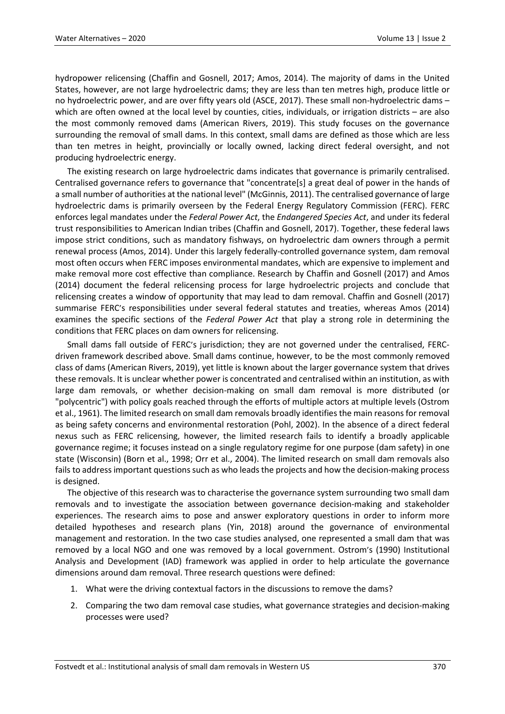hydropower relicensing (Chaffin and Gosnell, 2017; Amos, 2014). The majority of dams in the United States, however, are not large hydroelectric dams; they are less than ten metres high, produce little or no hydroelectric power, and are over fifty years old (ASCE, 2017). These small non-hydroelectric dams – which are often owned at the local level by counties, cities, individuals, or irrigation districts – are also the most commonly removed dams (American Rivers, 2019). This study focuses on the governance surrounding the removal of small dams. In this context, small dams are defined as those which are less than ten metres in height, provincially or locally owned, lacking direct federal oversight, and not producing hydroelectric energy.

The existing research on large hydroelectric dams indicates that governance is primarily centralised. Centralised governance refers to governance that "concentrate[s] a great deal of power in the hands of a small number of authorities at the national level" (McGinnis, 2011). The centralised governance of large hydroelectric dams is primarily overseen by the Federal Energy Regulatory Commission (FERC). FERC enforces legal mandates under the *Federal Power Act*, the *Endangered Species Act*, and under its federal trust responsibilities to American Indian tribes (Chaffin and Gosnell, 2017). Together, these federal laws impose strict conditions, such as mandatory fishways, on hydroelectric dam owners through a permit renewal process (Amos, 2014). Under this largely federally-controlled governance system, dam removal most often occurs when FERC imposes environmental mandates, which are expensive to implement and make removal more cost effective than compliance. Research by Chaffin and Gosnell (2017) and Amos (2014) document the federal relicensing process for large hydroelectric projects and conclude that relicensing creates a window of opportunity that may lead to dam removal. Chaffin and Gosnell (2017) summarise FERC's responsibilities under several federal statutes and treaties, whereas Amos (2014) examines the specific sections of the *Federal Power Act* that play a strong role in determining the conditions that FERC places on dam owners for relicensing.

Small dams fall outside of FERC's jurisdiction; they are not governed under the centralised, FERCdriven framework described above. Small dams continue, however, to be the most commonly removed class of dams (American Rivers, 2019), yet little is known about the larger governance system that drives these removals. It is unclear whether power is concentrated and centralised within an institution, as with large dam removals, or whether decision-making on small dam removal is more distributed (or "polycentric") with policy goals reached through the efforts of multiple actors at multiple levels (Ostrom et al., 1961). The limited research on small dam removals broadly identifies the main reasons for removal as being safety concerns and environmental restoration (Pohl, 2002). In the absence of a direct federal nexus such as FERC relicensing, however, the limited research fails to identify a broadly applicable governance regime; it focuses instead on a single regulatory regime for one purpose (dam safety) in one state (Wisconsin) (Born et al., 1998; Orr et al., 2004). The limited research on small dam removals also fails to address important questions such as who leads the projects and how the decision-making process is designed.

The objective of this research was to characterise the governance system surrounding two small dam removals and to investigate the association between governance decision-making and stakeholder experiences. The research aims to pose and answer exploratory questions in order to inform more detailed hypotheses and research plans (Yin, 2018) around the governance of environmental management and restoration. In the two case studies analysed, one represented a small dam that was removed by a local NGO and one was removed by a local government. Ostrom's (1990) Institutional Analysis and Development (IAD) framework was applied in order to help articulate the governance dimensions around dam removal. Three research questions were defined:

- 1. What were the driving contextual factors in the discussions to remove the dams?
- 2. Comparing the two dam removal case studies, what governance strategies and decision-making processes were used?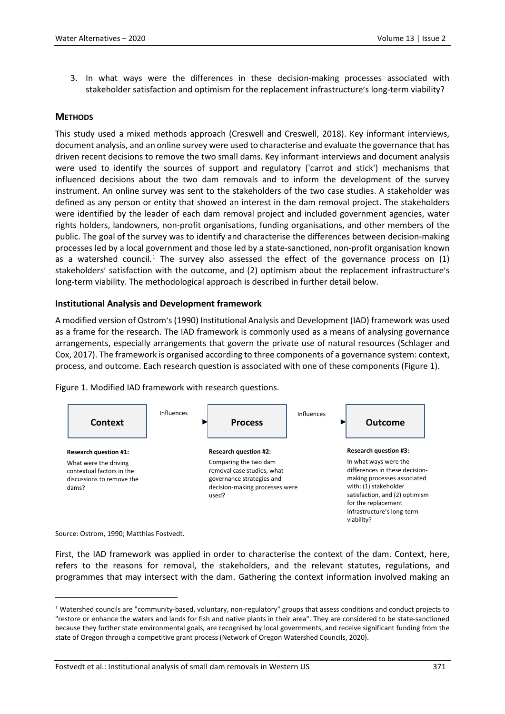3. In what ways were the differences in these decision-making processes associated with stakeholder satisfaction and optimism for the replacement infrastructure's long-term viability?

# **METHODS**

This study used a mixed methods approach (Creswell and Creswell, 2018). Key informant interviews, document analysis, and an online survey were used to characterise and evaluate the governance that has driven recent decisions to remove the two small dams. Key informant interviews and document analysis were used to identify the sources of support and regulatory ('carrot and stick') mechanisms that influenced decisions about the two dam removals and to inform the development of the survey instrument. An online survey was sent to the stakeholders of the two case studies. A stakeholder was defined as any person or entity that showed an interest in the dam removal project. The stakeholders were identified by the leader of each dam removal project and included government agencies, water rights holders, landowners, non-profit organisations, funding organisations, and other members of the public. The goal of the survey was to identify and characterise the differences between decision-making processes led by a local government and those led by a state-sanctioned, non-profit organisation known as a watershed council.<sup>[1](#page-2-0)</sup> The survey also assessed the effect of the governance process on  $(1)$ stakeholders' satisfaction with the outcome, and (2) optimism about the replacement infrastructure's long-term viability. The methodological approach is described in further detail below.

# **Institutional Analysis and Development framework**

A modified version of Ostrom's (1990) Institutional Analysis and Development (IAD) framework was used as a frame for the research. The IAD framework is commonly used as a means of analysing governance arrangements, especially arrangements that govern the private use of natural resources (Schlager and Cox, 2017). The framework is organised according to three components of a governance system: context, process, and outcome. Each research question is associated with one of these components (Figure 1).

Figure 1. Modified IAD framework with research questions.



Source: Ostrom, 1990; Matthias Fostvedt.

 $\overline{a}$ 

First, the IAD framework was applied in order to characterise the context of the dam. Context, here, refers to the reasons for removal, the stakeholders, and the relevant statutes, regulations, and programmes that may intersect with the dam. Gathering the context information involved making an

<span id="page-2-0"></span><sup>1</sup> Watershed councils are "community-based, voluntary, non-regulatory" groups that assess conditions and conduct projects to "restore or enhance the waters and lands for fish and native plants in their area". They are considered to be state-sanctioned because they further state environmental goals, are recognised by local governments, and receive significant funding from the state of Oregon through a competitive grant process (Network of Oregon Watershed Councils, 2020).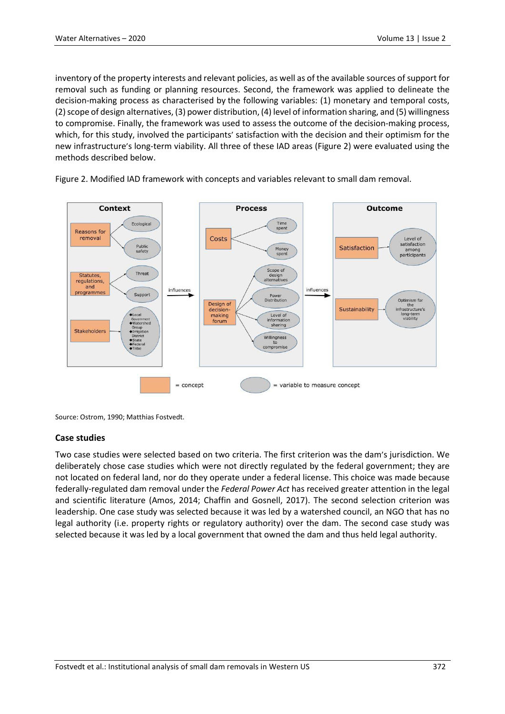inventory of the property interests and relevant policies, as well as of the available sources of support for removal such as funding or planning resources. Second, the framework was applied to delineate the decision-making process as characterised by the following variables: (1) monetary and temporal costs, (2) scope of design alternatives, (3) power distribution, (4) level of information sharing, and (5) willingness to compromise. Finally, the framework was used to assess the outcome of the decision-making process, which, for this study, involved the participants' satisfaction with the decision and their optimism for the new infrastructure's long-term viability. All three of these IAD areas (Figure 2) were evaluated using the methods described below.



Figure 2. Modified IAD framework with concepts and variables relevant to small dam removal.

Source: Ostrom, 1990; Matthias Fostvedt.

# **Case studies**

Two case studies were selected based on two criteria. The first criterion was the dam's jurisdiction. We deliberately chose case studies which were not directly regulated by the federal government; they are not located on federal land, nor do they operate under a federal license. This choice was made because federally-regulated dam removal under the *Federal Power Act* has received greater attention in the legal and scientific literature (Amos, 2014; Chaffin and Gosnell, 2017). The second selection criterion was leadership. One case study was selected because it was led by a watershed council, an NGO that has no legal authority (i.e. property rights or regulatory authority) over the dam. The second case study was selected because it was led by a local government that owned the dam and thus held legal authority.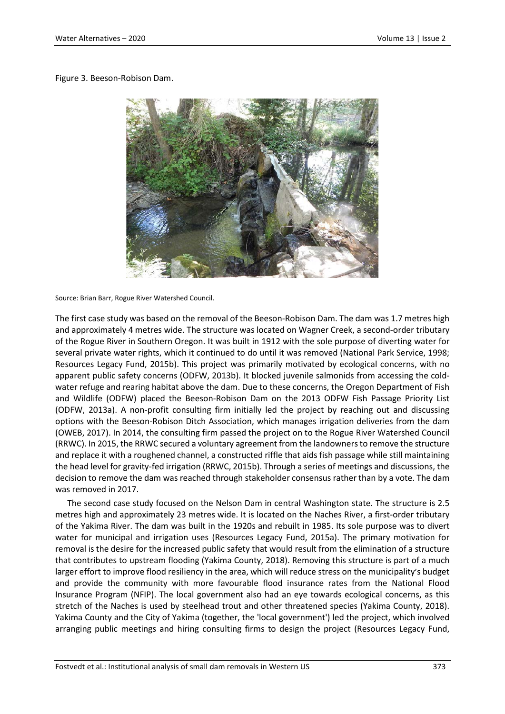#### Figure 3. Beeson-Robison Dam.



Source: Brian Barr, Rogue River Watershed Council.

The first case study was based on the removal of the Beeson-Robison Dam. The dam was 1.7 metres high and approximately 4 metres wide. The structure was located on Wagner Creek, a second-order tributary of the Rogue River in Southern Oregon. It was built in 1912 with the sole purpose of diverting water for several private water rights, which it continued to do until it was removed (National Park Service, 1998; Resources Legacy Fund, 2015b). This project was primarily motivated by ecological concerns, with no apparent public safety concerns (ODFW, 2013b). It blocked juvenile salmonids from accessing the coldwater refuge and rearing habitat above the dam. Due to these concerns, the Oregon Department of Fish and Wildlife (ODFW) placed the Beeson-Robison Dam on the 2013 ODFW Fish Passage Priority List (ODFW, 2013a). A non-profit consulting firm initially led the project by reaching out and discussing options with the Beeson-Robison Ditch Association, which manages irrigation deliveries from the dam (OWEB, 2017). In 2014, the consulting firm passed the project on to the Rogue River Watershed Council (RRWC). In 2015, the RRWC secured a voluntary agreement from the landowners to remove the structure and replace it with a roughened channel, a constructed riffle that aids fish passage while still maintaining the head level for gravity-fed irrigation (RRWC, 2015b). Through a series of meetings and discussions, the decision to remove the dam was reached through stakeholder consensus rather than by a vote. The dam was removed in 2017.

The second case study focused on the Nelson Dam in central Washington state. The structure is 2.5 metres high and approximately 23 metres wide. It is located on the Naches River, a first-order tributary of the Yakima River. The dam was built in the 1920s and rebuilt in 1985. Its sole purpose was to divert water for municipal and irrigation uses (Resources Legacy Fund, 2015a). The primary motivation for removal is the desire for the increased public safety that would result from the elimination of a structure that contributes to upstream flooding (Yakima County, 2018). Removing this structure is part of a much larger effort to improve flood resiliency in the area, which will reduce stress on the municipality's budget and provide the community with more favourable flood insurance rates from the National Flood Insurance Program (NFIP). The local government also had an eye towards ecological concerns, as this stretch of the Naches is used by steelhead trout and other threatened species (Yakima County, 2018). Yakima County and the City of Yakima (together, the 'local government') led the project, which involved arranging public meetings and hiring consulting firms to design the project (Resources Legacy Fund,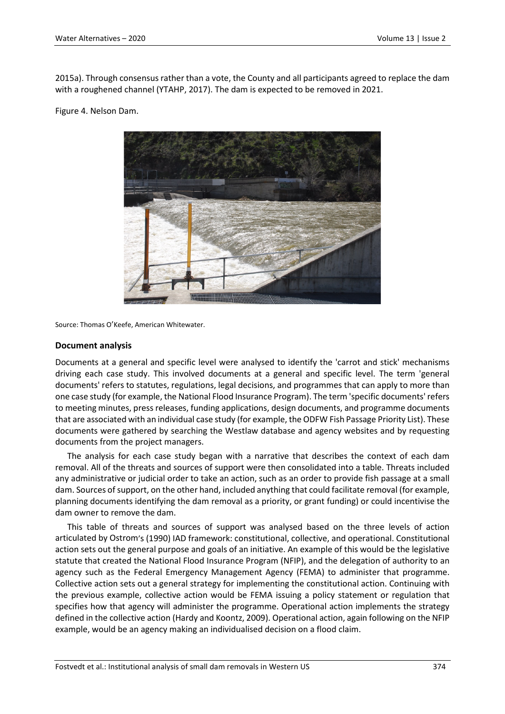2015a). Through consensus rather than a vote, the County and all participants agreed to replace the dam with a roughened channel (YTAHP, 2017). The dam is expected to be removed in 2021.

Figure 4. Nelson Dam.



Source: Thomas O'Keefe, American Whitewater.

#### **Document analysis**

Documents at a general and specific level were analysed to identify the 'carrot and stick' mechanisms driving each case study. This involved documents at a general and specific level. The term 'general documents' refers to statutes, regulations, legal decisions, and programmes that can apply to more than one case study (for example, the National Flood Insurance Program). The term 'specific documents' refers to meeting minutes, press releases, funding applications, design documents, and programme documents that are associated with an individual case study (for example, the ODFW Fish Passage Priority List). These documents were gathered by searching the Westlaw database and agency websites and by requesting documents from the project managers.

The analysis for each case study began with a narrative that describes the context of each dam removal. All of the threats and sources of support were then consolidated into a table. Threats included any administrative or judicial order to take an action, such as an order to provide fish passage at a small dam. Sources of support, on the other hand, included anything that could facilitate removal (for example, planning documents identifying the dam removal as a priority, or grant funding) or could incentivise the dam owner to remove the dam.

This table of threats and sources of support was analysed based on the three levels of action articulated by Ostrom's (1990) IAD framework: constitutional, collective, and operational. Constitutional action sets out the general purpose and goals of an initiative. An example of this would be the legislative statute that created the National Flood Insurance Program (NFIP), and the delegation of authority to an agency such as the Federal Emergency Management Agency (FEMA) to administer that programme. Collective action sets out a general strategy for implementing the constitutional action. Continuing with the previous example, collective action would be FEMA issuing a policy statement or regulation that specifies how that agency will administer the programme. Operational action implements the strategy defined in the collective action (Hardy and Koontz, 2009). Operational action, again following on the NFIP example, would be an agency making an individualised decision on a flood claim.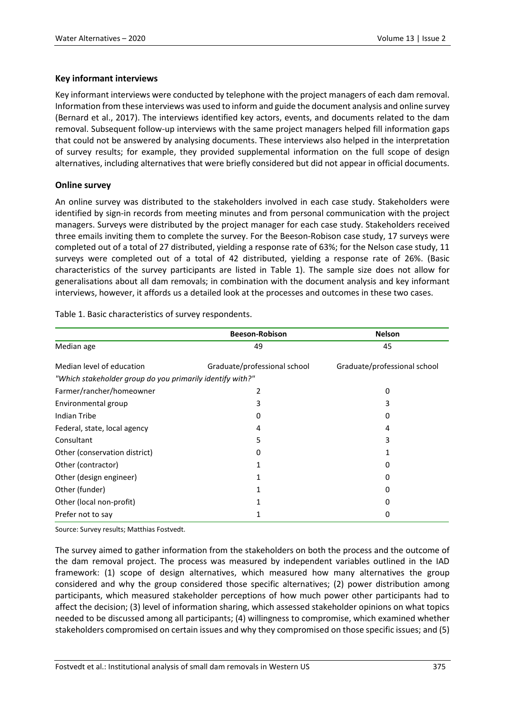# **Key informant interviews**

Key informant interviews were conducted by telephone with the project managers of each dam removal. Information from these interviews was used to inform and guide the document analysis and online survey (Bernard et al., 2017). The interviews identified key actors, events, and documents related to the dam removal. Subsequent follow-up interviews with the same project managers helped fill information gaps that could not be answered by analysing documents. These interviews also helped in the interpretation of survey results; for example, they provided supplemental information on the full scope of design alternatives, including alternatives that were briefly considered but did not appear in official documents.

# **Online survey**

An online survey was distributed to the stakeholders involved in each case study. Stakeholders were identified by sign-in records from meeting minutes and from personal communication with the project managers. Surveys were distributed by the project manager for each case study. Stakeholders received three emails inviting them to complete the survey. For the Beeson-Robison case study, 17 surveys were completed out of a total of 27 distributed, yielding a response rate of 63%; for the Nelson case study, 11 surveys were completed out of a total of 42 distributed, yielding a response rate of 26%. (Basic characteristics of the survey participants are listed in Table 1). The sample size does not allow for generalisations about all dam removals; in combination with the document analysis and key informant interviews, however, it affords us a detailed look at the processes and outcomes in these two cases.

|                                                           | <b>Beeson-Robison</b>        | <b>Nelson</b>                |  |  |  |  |  |
|-----------------------------------------------------------|------------------------------|------------------------------|--|--|--|--|--|
| Median age                                                | 49                           | 45                           |  |  |  |  |  |
| Median level of education                                 | Graduate/professional school | Graduate/professional school |  |  |  |  |  |
| "Which stakeholder group do you primarily identify with?" |                              |                              |  |  |  |  |  |
| Farmer/rancher/homeowner                                  | 2                            | 0                            |  |  |  |  |  |
| Environmental group                                       | 3                            | 3                            |  |  |  |  |  |
| Indian Tribe                                              | 0                            |                              |  |  |  |  |  |
| Federal, state, local agency                              | 4                            | 4                            |  |  |  |  |  |
| Consultant                                                | 5                            | 3                            |  |  |  |  |  |
| Other (conservation district)                             | 0                            |                              |  |  |  |  |  |
| Other (contractor)                                        | 1                            |                              |  |  |  |  |  |
| Other (design engineer)                                   | 1                            | O                            |  |  |  |  |  |
| Other (funder)                                            |                              |                              |  |  |  |  |  |
| Other (local non-profit)                                  |                              |                              |  |  |  |  |  |
| Prefer not to say                                         |                              |                              |  |  |  |  |  |

Table 1. Basic characteristics of survey respondents.

Source: Survey results; Matthias Fostvedt.

The survey aimed to gather information from the stakeholders on both the process and the outcome of the dam removal project. The process was measured by independent variables outlined in the IAD framework: (1) scope of design alternatives, which measured how many alternatives the group considered and why the group considered those specific alternatives; (2) power distribution among participants, which measured stakeholder perceptions of how much power other participants had to affect the decision; (3) level of information sharing, which assessed stakeholder opinions on what topics needed to be discussed among all participants; (4) willingness to compromise, which examined whether stakeholders compromised on certain issues and why they compromised on those specific issues; and (5)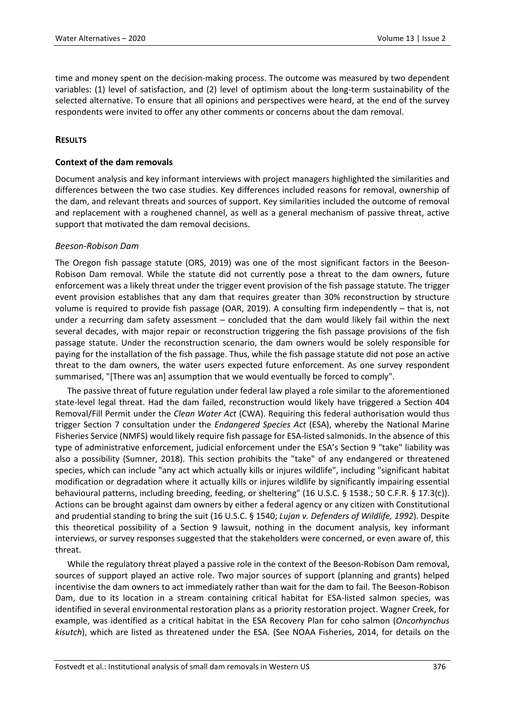time and money spent on the decision-making process. The outcome was measured by two dependent variables: (1) level of satisfaction, and (2) level of optimism about the long-term sustainability of the selected alternative. To ensure that all opinions and perspectives were heard, at the end of the survey respondents were invited to offer any other comments or concerns about the dam removal.

# **RESULTS**

# **Context of the dam removals**

Document analysis and key informant interviews with project managers highlighted the similarities and differences between the two case studies. Key differences included reasons for removal, ownership of the dam, and relevant threats and sources of support. Key similarities included the outcome of removal and replacement with a roughened channel, as well as a general mechanism of passive threat, active support that motivated the dam removal decisions.

# *Beeson-Robison Dam*

The Oregon fish passage statute (ORS, 2019) was one of the most significant factors in the Beeson-Robison Dam removal. While the statute did not currently pose a threat to the dam owners, future enforcement was a likely threat under the trigger event provision of the fish passage statute. The trigger event provision establishes that any dam that requires greater than 30% reconstruction by structure volume is required to provide fish passage (OAR, 2019). A consulting firm independently – that is, not under a recurring dam safety assessment – concluded that the dam would likely fail within the next several decades, with major repair or reconstruction triggering the fish passage provisions of the fish passage statute. Under the reconstruction scenario, the dam owners would be solely responsible for paying for the installation of the fish passage. Thus, while the fish passage statute did not pose an active threat to the dam owners, the water users expected future enforcement. As one survey respondent summarised, "[There was an] assumption that we would eventually be forced to comply".

The passive threat of future regulation under federal law played a role similar to the aforementioned state-level legal threat. Had the dam failed, reconstruction would likely have triggered a Section 404 Removal/Fill Permit under the *Clean Water Act* (CWA). Requiring this federal authorisation would thus trigger Section 7 consultation under the *Endangered Species Act* (ESA), whereby the National Marine Fisheries Service (NMFS) would likely require fish passage for ESA-listed salmonids. In the absence of this type of administrative enforcement, judicial enforcement under the ESA's Section 9 "take" liability was also a possibility (Sumner, 2018). This section prohibits the "take" of any endangered or threatened species, which can include "any act which actually kills or injures wildlife", including "significant habitat modification or degradation where it actually kills or injures wildlife by significantly impairing essential behavioural patterns, including breeding, feeding, or sheltering" (16 U.S.C. § 1538.; 50 C.F.R. § 17.3(c)). Actions can be brought against dam owners by either a federal agency or any citizen with Constitutional and prudential standing to bring the suit (16 U.S.C. § 1540; *Lujan v. Defenders of Wildlife, 1992*). Despite this theoretical possibility of a Section 9 lawsuit, nothing in the document analysis, key informant interviews, or survey responses suggested that the stakeholders were concerned, or even aware of, this threat.

While the regulatory threat played a passive role in the context of the Beeson-Robison Dam removal, sources of support played an active role. Two major sources of support (planning and grants) helped incentivise the dam owners to act immediately rather than wait for the dam to fail. The Beeson-Robison Dam, due to its location in a stream containing critical habitat for ESA-listed salmon species, was identified in several environmental restoration plans as a priority restoration project. Wagner Creek, for example, was identified as a critical habitat in the ESA Recovery Plan for coho salmon (*Oncorhynchus kisutch*), which are listed as threatened under the ESA. (See NOAA Fisheries, 2014, for details on the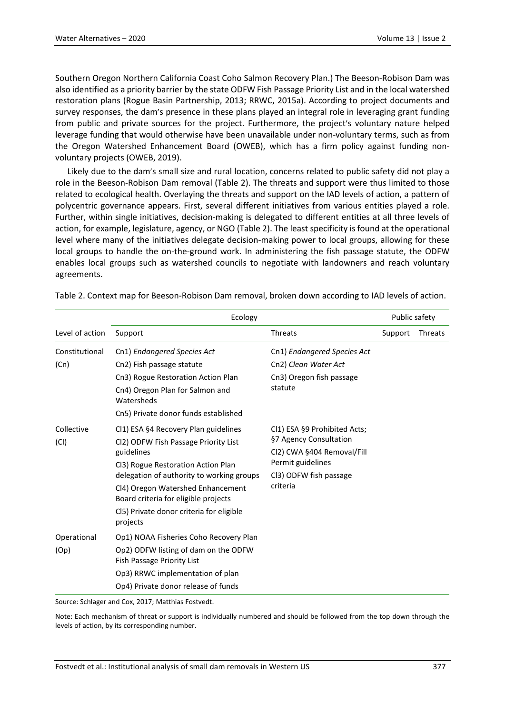Southern Oregon Northern California Coast Coho Salmon Recovery Plan.) The Beeson-Robison Dam was also identified as a priority barrier by the state ODFW Fish Passage Priority List and in the local watershed restoration plans (Rogue Basin Partnership, 2013; RRWC, 2015a). According to project documents and survey responses, the dam's presence in these plans played an integral role in leveraging grant funding from public and private sources for the project. Furthermore, the project's voluntary nature helped leverage funding that would otherwise have been unavailable under non-voluntary terms, such as from the Oregon Watershed Enhancement Board (OWEB), which has a firm policy against funding nonvoluntary projects (OWEB, 2019).

Likely due to the dam's small size and rural location, concerns related to public safety did not play a role in the Beeson-Robison Dam removal (Table 2). The threats and support were thus limited to those related to ecological health. Overlaying the threats and support on the IAD levels of action, a pattern of polycentric governance appears. First, several different initiatives from various entities played a role. Further, within single initiatives, decision-making is delegated to different entities at all three levels of action, for example, legislature, agency, or NGO (Table 2). The least specificity is found at the operational level where many of the initiatives delegate decision-making power to local groups, allowing for these local groups to handle the on-the-ground work. In administering the fish passage statute, the ODFW enables local groups such as watershed councils to negotiate with landowners and reach voluntary agreements.

|                    | Ecology                                                                                                                                                                                                                                                                                                |                                                                                                                                                 |         | Public safety |  |
|--------------------|--------------------------------------------------------------------------------------------------------------------------------------------------------------------------------------------------------------------------------------------------------------------------------------------------------|-------------------------------------------------------------------------------------------------------------------------------------------------|---------|---------------|--|
| Level of action    | Support                                                                                                                                                                                                                                                                                                | <b>Threats</b>                                                                                                                                  | Support | Threats       |  |
| Constitutional     | Cn1) Endangered Species Act                                                                                                                                                                                                                                                                            | Cn1) Endangered Species Act                                                                                                                     |         |               |  |
| (Cn)               | Cn <sub>2</sub> ) Fish passage statute                                                                                                                                                                                                                                                                 | Cn2) Clean Water Act                                                                                                                            |         |               |  |
|                    | Cn3) Rogue Restoration Action Plan<br>Cn4) Oregon Plan for Salmon and                                                                                                                                                                                                                                  | Cn3) Oregon fish passage<br>statute                                                                                                             |         |               |  |
|                    | Watersheds<br>Cn5) Private donor funds established                                                                                                                                                                                                                                                     |                                                                                                                                                 |         |               |  |
| Collective<br>(Cl) | Cl1) ESA §4 Recovery Plan guidelines<br>Cl2) ODFW Fish Passage Priority List<br>guidelines<br>Cl3) Rogue Restoration Action Plan<br>delegation of authority to working groups<br>Cl4) Oregon Watershed Enhancement<br>Board criteria for eligible projects<br>CI5) Private donor criteria for eligible | Cl1) ESA §9 Prohibited Acts;<br>§7 Agency Consultation<br>Cl2) CWA §404 Removal/Fill<br>Permit guidelines<br>Cl3) ODFW fish passage<br>criteria |         |               |  |
| Operational        | projects<br>Op1) NOAA Fisheries Coho Recovery Plan                                                                                                                                                                                                                                                     |                                                                                                                                                 |         |               |  |
| (Op)               | Op2) ODFW listing of dam on the ODFW<br>Fish Passage Priority List                                                                                                                                                                                                                                     |                                                                                                                                                 |         |               |  |
|                    | Op3) RRWC implementation of plan                                                                                                                                                                                                                                                                       |                                                                                                                                                 |         |               |  |
|                    | Op4) Private donor release of funds                                                                                                                                                                                                                                                                    |                                                                                                                                                 |         |               |  |

Table 2. Context map for Beeson-Robison Dam removal, broken down according to IAD levels of action.

Source: Schlager and Cox, 2017; Matthias Fostvedt.

Note: Each mechanism of threat or support is individually numbered and should be followed from the top down through the levels of action, by its corresponding number.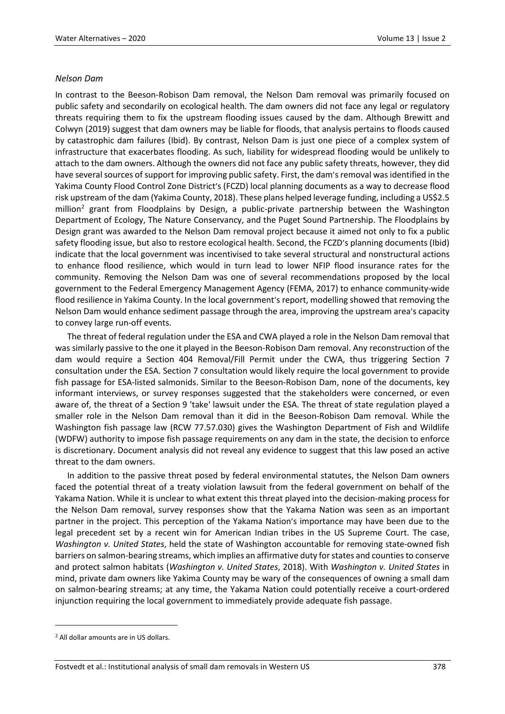# *Nelson Dam*

In contrast to the Beeson-Robison Dam removal, the Nelson Dam removal was primarily focused on public safety and secondarily on ecological health. The dam owners did not face any legal or regulatory threats requiring them to fix the upstream flooding issues caused by the dam. Although Brewitt and Colwyn (2019) suggest that dam owners may be liable for floods, that analysis pertains to floods caused by catastrophic dam failures (Ibid). By contrast, Nelson Dam is just one piece of a complex system of infrastructure that exacerbates flooding. As such, liability for widespread flooding would be unlikely to attach to the dam owners. Although the owners did not face any public safety threats, however, they did have several sources of support for improving public safety. First, the dam's removal was identified in the Yakima County Flood Control Zone District's (FCZD) local planning documents as a way to decrease flood risk upstream of the dam (Yakima County, 2018). These plans helped leverage funding, including a US\$2.5 million<sup>[2](#page-9-0)</sup> grant from Floodplains by Design, a public-private partnership between the Washington Department of Ecology, The Nature Conservancy, and the Puget Sound Partnership. The Floodplains by Design grant was awarded to the Nelson Dam removal project because it aimed not only to fix a public safety flooding issue, but also to restore ecological health. Second, the FCZD's planning documents (Ibid) indicate that the local government was incentivised to take several structural and nonstructural actions to enhance flood resilience, which would in turn lead to lower NFIP flood insurance rates for the community. Removing the Nelson Dam was one of several recommendations proposed by the local government to the Federal Emergency Management Agency (FEMA, 2017) to enhance community-wide flood resilience in Yakima County. In the local government's report, modelling showed that removing the Nelson Dam would enhance sediment passage through the area, improving the upstream area's capacity to convey large run-off events.

The threat of federal regulation under the ESA and CWA played a role in the Nelson Dam removal that was similarly passive to the one it played in the Beeson-Robison Dam removal. Any reconstruction of the dam would require a Section 404 Removal/Fill Permit under the CWA, thus triggering Section 7 consultation under the ESA. Section 7 consultation would likely require the local government to provide fish passage for ESA-listed salmonids. Similar to the Beeson-Robison Dam, none of the documents, key informant interviews, or survey responses suggested that the stakeholders were concerned, or even aware of, the threat of a Section 9 'take' lawsuit under the ESA. The threat of state regulation played a smaller role in the Nelson Dam removal than it did in the Beeson-Robison Dam removal. While the Washington fish passage law (RCW 77.57.030) gives the Washington Department of Fish and Wildlife (WDFW) authority to impose fish passage requirements on any dam in the state, the decision to enforce is discretionary. Document analysis did not reveal any evidence to suggest that this law posed an active threat to the dam owners.

In addition to the passive threat posed by federal environmental statutes, the Nelson Dam owners faced the potential threat of a treaty violation lawsuit from the federal government on behalf of the Yakama Nation. While it is unclear to what extent this threat played into the decision-making process for the Nelson Dam removal, survey responses show that the Yakama Nation was seen as an important partner in the project. This perception of the Yakama Nation's importance may have been due to the legal precedent set by a recent win for American Indian tribes in the US Supreme Court. The case, *Washington v. United States*, held the state of Washington accountable for removing state-owned fish barriers on salmon-bearing streams, which implies an affirmative duty for states and counties to conserve and protect salmon habitats (*Washington v. United States*, 2018). With *Washington v. United States* in mind, private dam owners like Yakima County may be wary of the consequences of owning a small dam on salmon-bearing streams; at any time, the Yakama Nation could potentially receive a court-ordered injunction requiring the local government to immediately provide adequate fish passage.

 $\overline{a}$ 

<span id="page-9-0"></span><sup>2</sup> All dollar amounts are in US dollars.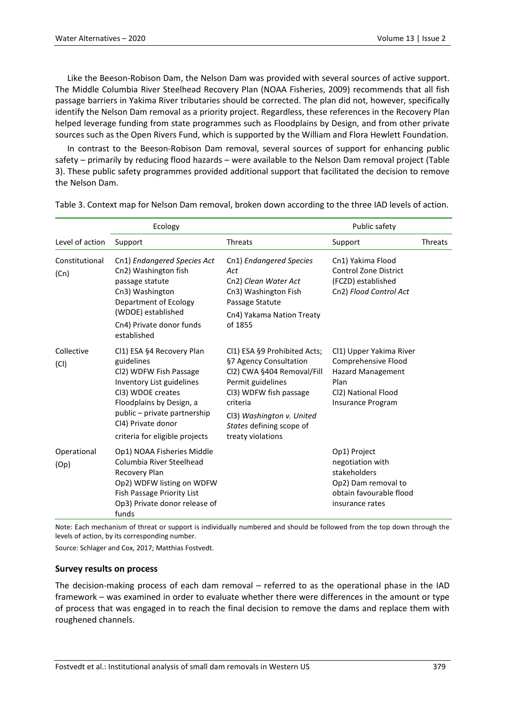Like the Beeson-Robison Dam, the Nelson Dam was provided with several sources of active support. The Middle Columbia River Steelhead Recovery Plan (NOAA Fisheries, 2009) recommends that all fish passage barriers in Yakima River tributaries should be corrected. The plan did not, however, specifically identify the Nelson Dam removal as a priority project. Regardless, these references in the Recovery Plan helped leverage funding from state programmes such as Floodplains by Design, and from other private sources such as the Open Rivers Fund, which is supported by the William and Flora Hewlett Foundation.

In contrast to the Beeson-Robison Dam removal, several sources of support for enhancing public safety – primarily by reducing flood hazards – were available to the Nelson Dam removal project (Table 3). These public safety programmes provided additional support that facilitated the decision to remove the Nelson Dam.

|                        | Ecology                                                                                                                                                                                                                                 |                                                                                                                                                                                                                               | Public safety                                                                                                                               |         |  |
|------------------------|-----------------------------------------------------------------------------------------------------------------------------------------------------------------------------------------------------------------------------------------|-------------------------------------------------------------------------------------------------------------------------------------------------------------------------------------------------------------------------------|---------------------------------------------------------------------------------------------------------------------------------------------|---------|--|
| Level of action        | Support                                                                                                                                                                                                                                 | Threats                                                                                                                                                                                                                       | Support                                                                                                                                     | Threats |  |
| Constitutional<br>(Cn) | Cn1) Endangered Species Act<br>Cn2) Washington fish<br>passage statute<br>Cn3) Washington<br>Department of Ecology<br>(WDOE) established<br>Cn4) Private donor funds<br>established                                                     | Cn1) Endangered Species<br>Act<br>Cn2) Clean Water Act<br>Cn3) Washington Fish<br>Passage Statute<br>Cn4) Yakama Nation Treaty<br>of 1855                                                                                     | Cn1) Yakima Flood<br><b>Control Zone District</b><br>(FCZD) established<br>Cn2) Flood Control Act                                           |         |  |
| Collective<br>(Cl)     | Cl1) ESA §4 Recovery Plan<br>guidelines<br>Cl2) WDFW Fish Passage<br>Inventory List guidelines<br>Cl3) WDOE creates<br>Floodplains by Design, a<br>public - private partnership<br>Cl4) Private donor<br>criteria for eligible projects | CI1) ESA §9 Prohibited Acts;<br>§7 Agency Consultation<br>Cl2) CWA §404 Removal/Fill<br>Permit guidelines<br>Cl3) WDFW fish passage<br>criteria<br>Cl3) Washington v. United<br>States defining scope of<br>treaty violations | Cl1) Upper Yakima River<br>Comprehensive Flood<br><b>Hazard Management</b><br>Plan<br>Cl <sub>2</sub> ) National Flood<br>Insurance Program |         |  |
| Operational<br>(Op)    | Op1) NOAA Fisheries Middle<br>Columbia River Steelhead<br>Recovery Plan<br>Op2) WDFW listing on WDFW<br>Fish Passage Priority List<br>Op3) Private donor release of<br>funds                                                            |                                                                                                                                                                                                                               | Op1) Project<br>negotiation with<br>stakeholders<br>Op2) Dam removal to<br>obtain favourable flood<br>insurance rates                       |         |  |

Table 3. Context map for Nelson Dam removal, broken down according to the three IAD levels of action.

Note: Each mechanism of threat or support is individually numbered and should be followed from the top down through the levels of action, by its corresponding number.

Source: Schlager and Cox, 2017; Matthias Fostvedt.

#### **Survey results on process**

The decision-making process of each dam removal – referred to as the operational phase in the IAD framework – was examined in order to evaluate whether there were differences in the amount or type of process that was engaged in to reach the final decision to remove the dams and replace them with roughened channels.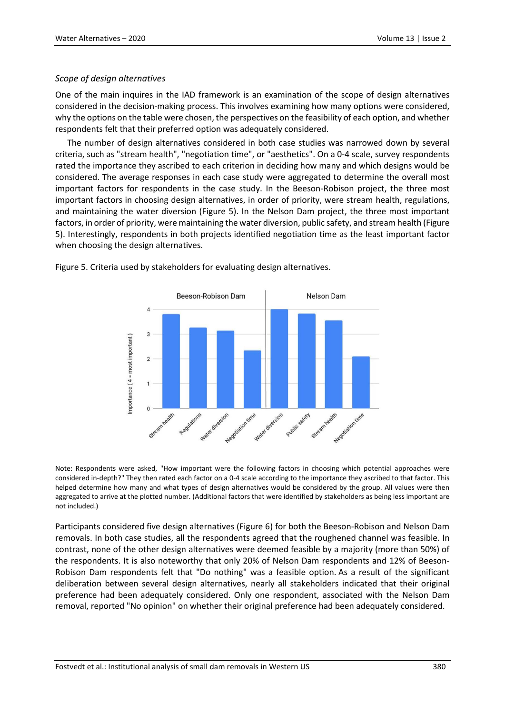# *Scope of design alternatives*

One of the main inquires in the IAD framework is an examination of the scope of design alternatives considered in the decision-making process. This involves examining how many options were considered, why the options on the table were chosen, the perspectives on the feasibility of each option, and whether respondents felt that their preferred option was adequately considered.

The number of design alternatives considered in both case studies was narrowed down by several criteria, such as "stream health", "negotiation time", or "aesthetics". On a 0-4 scale, survey respondents rated the importance they ascribed to each criterion in deciding how many and which designs would be considered. The average responses in each case study were aggregated to determine the overall most important factors for respondents in the case study. In the Beeson-Robison project, the three most important factors in choosing design alternatives, in order of priority, were stream health, regulations, and maintaining the water diversion (Figure 5). In the Nelson Dam project, the three most important factors, in order of priority, were maintaining the water diversion, public safety, and stream health (Figure 5). Interestingly, respondents in both projects identified negotiation time as the least important factor when choosing the design alternatives.



Figure 5. Criteria used by stakeholders for evaluating design alternatives.

Note: Respondents were asked, "How important were the following factors in choosing which potential approaches were considered in-depth?" They then rated each factor on a 0-4 scale according to the importance they ascribed to that factor. This helped determine how many and what types of design alternatives would be considered by the group. All values were then aggregated to arrive at the plotted number. (Additional factors that were identified by stakeholders as being less important are not included.)

Participants considered five design alternatives (Figure 6) for both the Beeson-Robison and Nelson Dam removals. In both case studies, all the respondents agreed that the roughened channel was feasible. In contrast, none of the other design alternatives were deemed feasible by a majority (more than 50%) of the respondents. It is also noteworthy that only 20% of Nelson Dam respondents and 12% of Beeson-Robison Dam respondents felt that "Do nothing" was a feasible option. As a result of the significant deliberation between several design alternatives, nearly all stakeholders indicated that their original preference had been adequately considered. Only one respondent, associated with the Nelson Dam removal, reported "No opinion" on whether their original preference had been adequately considered.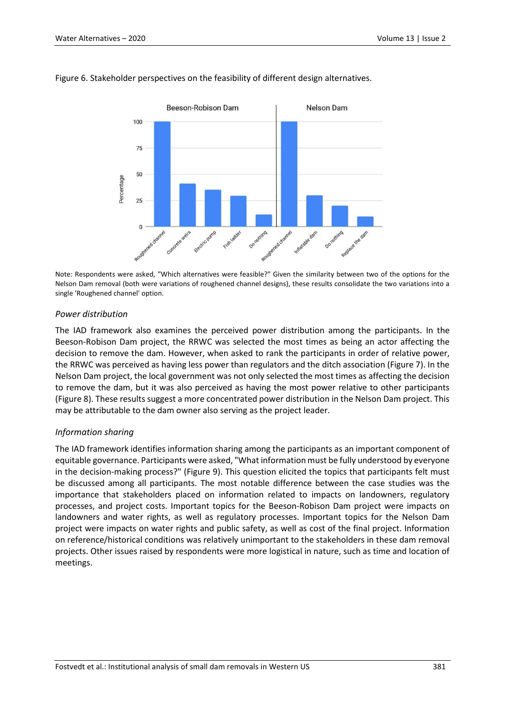

#### Figure 6. Stakeholder perspectives on the feasibility of different design alternatives.

Note: Respondents were asked, "Which alternatives were feasible?" Given the similarity between two of the options for the Nelson Dam removal (both were variations of roughened channel designs), these results consolidate the two variations into a single 'Roughened channel' option.

#### *Power distribution*

The IAD framework also examines the perceived power distribution among the participants. In the Beeson-Robison Dam project, the RRWC was selected the most times as being an actor affecting the decision to remove the dam. However, when asked to rank the participants in order of relative power, the RRWC was perceived as having less power than regulators and the ditch association (Figure 7). In the Nelson Dam project, the local government was not only selected the most times as affecting the decision to remove the dam, but it was also perceived as having the most power relative to other participants (Figure 8). These results suggest a more concentrated power distribution in the Nelson Dam project. This may be attributable to the dam owner also serving as the project leader.

# *Information sharing*

The IAD framework identifies information sharing among the participants as an important component of equitable governance. Participants were asked, "What information must be fully understood by everyone in the decision-making process?" (Figure 9). This question elicited the topics that participants felt must be discussed among all participants. The most notable difference between the case studies was the importance that stakeholders placed on information related to impacts on landowners, regulatory processes, and project costs. Important topics for the Beeson-Robison Dam project were impacts on landowners and water rights, as well as regulatory processes. Important topics for the Nelson Dam project were impacts on water rights and public safety, as well as cost of the final project. Information on reference/historical conditions was relatively unimportant to the stakeholders in these dam removal projects. Other issues raised by respondents were more logistical in nature, such as time and location of meetings.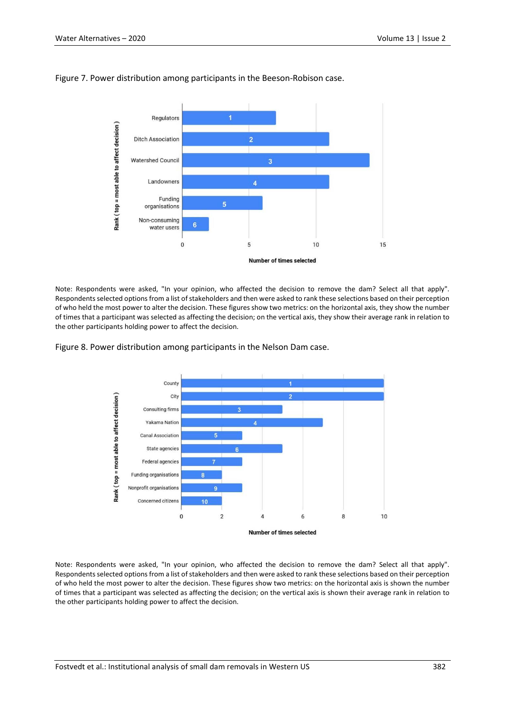

#### Figure 7. Power distribution among participants in the Beeson-Robison case.

Note: Respondents were asked, "In your opinion, who affected the decision to remove the dam? Select all that apply". Respondents selected options from a list of stakeholders and then were asked to rank these selections based on their perception of who held the most power to alter the decision. These figures show two metrics: on the horizontal axis, they show the number of times that a participant was selected as affecting the decision; on the vertical axis, they show their average rank in relation to the other participants holding power to affect the decision.





Note: Respondents were asked, "In your opinion, who affected the decision to remove the dam? Select all that apply". Respondents selected options from a list of stakeholders and then were asked to rank these selections based on their perception of who held the most power to alter the decision. These figures show two metrics: on the horizontal axis is shown the number of times that a participant was selected as affecting the decision; on the vertical axis is shown their average rank in relation to the other participants holding power to affect the decision.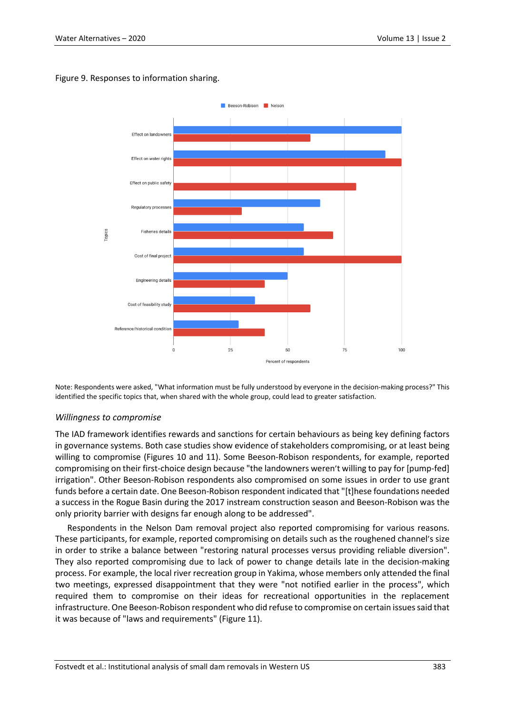# Figure 9. Responses to information sharing.



Note: Respondents were asked, "What information must be fully understood by everyone in the decision-making process?" This identified the specific topics that, when shared with the whole group, could lead to greater satisfaction.

# *Willingness to compromise*

The IAD framework identifies rewards and sanctions for certain behaviours as being key defining factors in governance systems. Both case studies show evidence of stakeholders compromising, or at least being willing to compromise (Figures 10 and 11). Some Beeson-Robison respondents, for example, reported compromising on their first-choice design because "the landowners weren't willing to pay for [pump-fed] irrigation". Other Beeson-Robison respondents also compromised on some issues in order to use grant funds before a certain date. One Beeson-Robison respondent indicated that "[t]hese foundations needed a success in the Rogue Basin during the 2017 instream construction season and Beeson-Robison was the only priority barrier with designs far enough along to be addressed".

Respondents in the Nelson Dam removal project also reported compromising for various reasons. These participants, for example, reported compromising on details such as the roughened channel's size in order to strike a balance between "restoring natural processes versus providing reliable diversion". They also reported compromising due to lack of power to change details late in the decision-making process. For example, the local river recreation group in Yakima, whose members only attended the final two meetings, expressed disappointment that they were "not notified earlier in the process", which required them to compromise on their ideas for recreational opportunities in the replacement infrastructure. One Beeson-Robison respondent who did refuse to compromise on certain issues said that it was because of "laws and requirements" (Figure 11).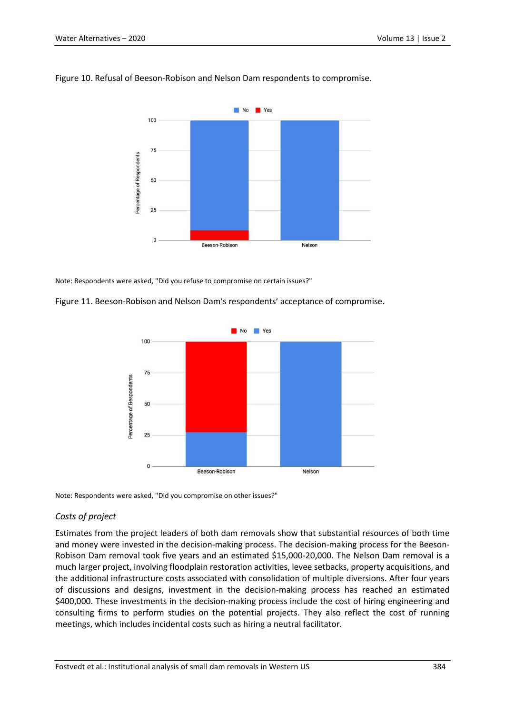

#### Figure 10. Refusal of Beeson-Robison and Nelson Dam respondents to compromise.

Note: Respondents were asked, "Did you refuse to compromise on certain issues?"





Note: Respondents were asked, "Did you compromise on other issues?"

# *Costs of project*

Estimates from the project leaders of both dam removals show that substantial resources of both time and money were invested in the decision-making process. The decision-making process for the Beeson-Robison Dam removal took five years and an estimated \$15,000-20,000. The Nelson Dam removal is a much larger project, involving floodplain restoration activities, levee setbacks, property acquisitions, and the additional infrastructure costs associated with consolidation of multiple diversions. After four years of discussions and designs, investment in the decision-making process has reached an estimated \$400,000. These investments in the decision-making process include the cost of hiring engineering and consulting firms to perform studies on the potential projects. They also reflect the cost of running meetings, which includes incidental costs such as hiring a neutral facilitator.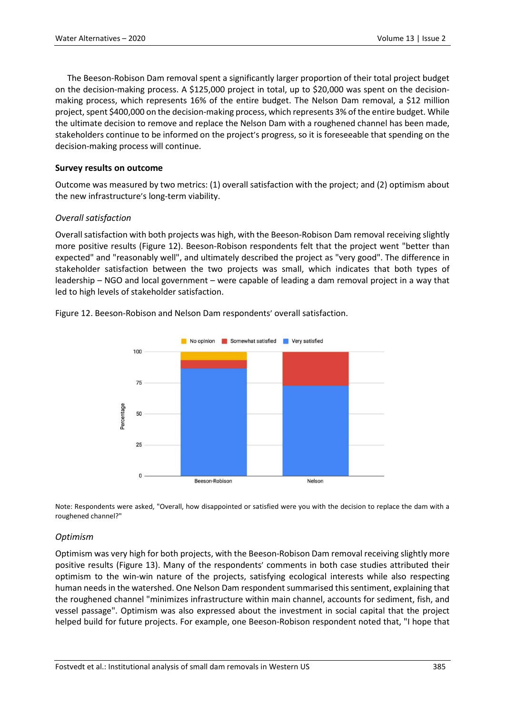The Beeson-Robison Dam removal spent a significantly larger proportion of their total project budget on the decision-making process. A \$125,000 project in total, up to \$20,000 was spent on the decisionmaking process, which represents 16% of the entire budget. The Nelson Dam removal, a \$12 million project, spent \$400,000 on the decision-making process, which represents 3% of the entire budget. While the ultimate decision to remove and replace the Nelson Dam with a roughened channel has been made, stakeholders continue to be informed on the project's progress, so it is foreseeable that spending on the decision-making process will continue.

#### **Survey results on outcome**

Outcome was measured by two metrics: (1) overall satisfaction with the project; and (2) optimism about the new infrastructure's long-term viability.

# *Overall satisfaction*

Overall satisfaction with both projects was high, with the Beeson-Robison Dam removal receiving slightly more positive results (Figure 12). Beeson-Robison respondents felt that the project went "better than expected" and "reasonably well", and ultimately described the project as "very good". The difference in stakeholder satisfaction between the two projects was small, which indicates that both types of leadership – NGO and local government – were capable of leading a dam removal project in a way that led to high levels of stakeholder satisfaction.



Figure 12. Beeson-Robison and Nelson Dam respondents' overall satisfaction.

Note: Respondents were asked, "Overall, how disappointed or satisfied were you with the decision to replace the dam with a roughened channel?"

# *Optimism*

Optimism was very high for both projects, with the Beeson-Robison Dam removal receiving slightly more positive results (Figure 13). Many of the respondents' comments in both case studies attributed their optimism to the win-win nature of the projects, satisfying ecological interests while also respecting human needs in the watershed. One Nelson Dam respondent summarised this sentiment, explaining that the roughened channel "minimizes infrastructure within main channel, accounts for sediment, fish, and vessel passage". Optimism was also expressed about the investment in social capital that the project helped build for future projects. For example, one Beeson-Robison respondent noted that, "I hope that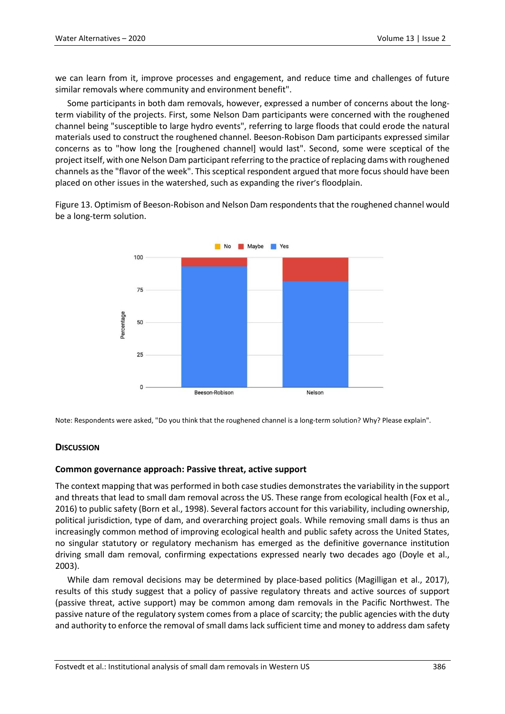we can learn from it, improve processes and engagement, and reduce time and challenges of future similar removals where community and environment benefit".

Some participants in both dam removals, however, expressed a number of concerns about the longterm viability of the projects. First, some Nelson Dam participants were concerned with the roughened channel being "susceptible to large hydro events", referring to large floods that could erode the natural materials used to construct the roughened channel. Beeson-Robison Dam participants expressed similar concerns as to "how long the [roughened channel] would last". Second, some were sceptical of the project itself, with one Nelson Dam participant referring to the practice of replacing dams with roughened channels as the "flavor of the week". This sceptical respondent argued that more focus should have been placed on other issues in the watershed, such as expanding the river's floodplain.

Figure 13. Optimism of Beeson-Robison and Nelson Dam respondents that the roughened channel would be a long-term solution.



Note: Respondents were asked, "Do you think that the roughened channel is a long-term solution? Why? Please explain".

# **DISCUSSION**

#### **Common governance approach: Passive threat, active support**

The context mapping that was performed in both case studies demonstrates the variability in the support and threats that lead to small dam removal across the US. These range from ecological health (Fox et al., 2016) to public safety (Born et al., 1998). Several factors account for this variability, including ownership, political jurisdiction, type of dam, and overarching project goals. While removing small dams is thus an increasingly common method of improving ecological health and public safety across the United States, no singular statutory or regulatory mechanism has emerged as the definitive governance institution driving small dam removal, confirming expectations expressed nearly two decades ago (Doyle et al., 2003).

While dam removal decisions may be determined by place-based politics (Magilligan et al., 2017), results of this study suggest that a policy of passive regulatory threats and active sources of support (passive threat, active support) may be common among dam removals in the Pacific Northwest. The passive nature of the regulatory system comes from a place of scarcity; the public agencies with the duty and authority to enforce the removal of small dams lack sufficient time and money to address dam safety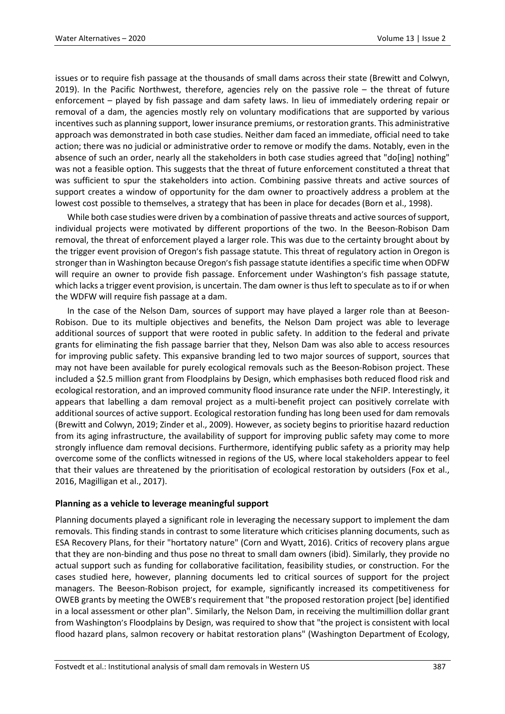issues or to require fish passage at the thousands of small dams across their state (Brewitt and Colwyn, 2019). In the Pacific Northwest, therefore, agencies rely on the passive role – the threat of future enforcement – played by fish passage and dam safety laws. In lieu of immediately ordering repair or removal of a dam, the agencies mostly rely on voluntary modifications that are supported by various incentives such as planning support, lower insurance premiums, or restoration grants. This administrative approach was demonstrated in both case studies. Neither dam faced an immediate, official need to take action; there was no judicial or administrative order to remove or modify the dams. Notably, even in the absence of such an order, nearly all the stakeholders in both case studies agreed that "do[ing] nothing" was not a feasible option. This suggests that the threat of future enforcement constituted a threat that was sufficient to spur the stakeholders into action. Combining passive threats and active sources of support creates a window of opportunity for the dam owner to proactively address a problem at the lowest cost possible to themselves, a strategy that has been in place for decades (Born et al., 1998).

While both case studies were driven by a combination of passive threats and active sources of support, individual projects were motivated by different proportions of the two. In the Beeson-Robison Dam removal, the threat of enforcement played a larger role. This was due to the certainty brought about by the trigger event provision of Oregon's fish passage statute. This threat of regulatory action in Oregon is stronger than in Washington because Oregon's fish passage statute identifies a specific time when ODFW will require an owner to provide fish passage. Enforcement under Washington's fish passage statute, which lacks a trigger event provision, is uncertain. The dam owner is thus left to speculate as to if or when the WDFW will require fish passage at a dam.

In the case of the Nelson Dam, sources of support may have played a larger role than at Beeson-Robison. Due to its multiple objectives and benefits, the Nelson Dam project was able to leverage additional sources of support that were rooted in public safety. In addition to the federal and private grants for eliminating the fish passage barrier that they, Nelson Dam was also able to access resources for improving public safety. This expansive branding led to two major sources of support, sources that may not have been available for purely ecological removals such as the Beeson-Robison project. These included a \$2.5 million grant from Floodplains by Design, which emphasises both reduced flood risk and ecological restoration, and an improved community flood insurance rate under the NFIP. Interestingly, it appears that labelling a dam removal project as a multi-benefit project can positively correlate with additional sources of active support. Ecological restoration funding has long been used for dam removals (Brewitt and Colwyn, 2019; Zinder et al., 2009). However, as society begins to prioritise hazard reduction from its aging infrastructure, the availability of support for improving public safety may come to more strongly influence dam removal decisions. Furthermore, identifying public safety as a priority may help overcome some of the conflicts witnessed in regions of the US, where local stakeholders appear to feel that their values are threatened by the prioritisation of ecological restoration by outsiders (Fox et al., 2016, Magilligan et al., 2017).

# **Planning as a vehicle to leverage meaningful support**

Planning documents played a significant role in leveraging the necessary support to implement the dam removals. This finding stands in contrast to some literature which criticises planning documents, such as ESA Recovery Plans, for their "hortatory nature" (Corn and Wyatt, 2016). Critics of recovery plans argue that they are non-binding and thus pose no threat to small dam owners (ibid). Similarly, they provide no actual support such as funding for collaborative facilitation, feasibility studies, or construction. For the cases studied here, however, planning documents led to critical sources of support for the project managers. The Beeson-Robison project, for example, significantly increased its competitiveness for OWEB grants by meeting the OWEB's requirement that "the proposed restoration project [be] identified in a local assessment or other plan". Similarly, the Nelson Dam, in receiving the multimillion dollar grant from Washington's Floodplains by Design, was required to show that "the project is consistent with local flood hazard plans, salmon recovery or habitat restoration plans" (Washington Department of Ecology,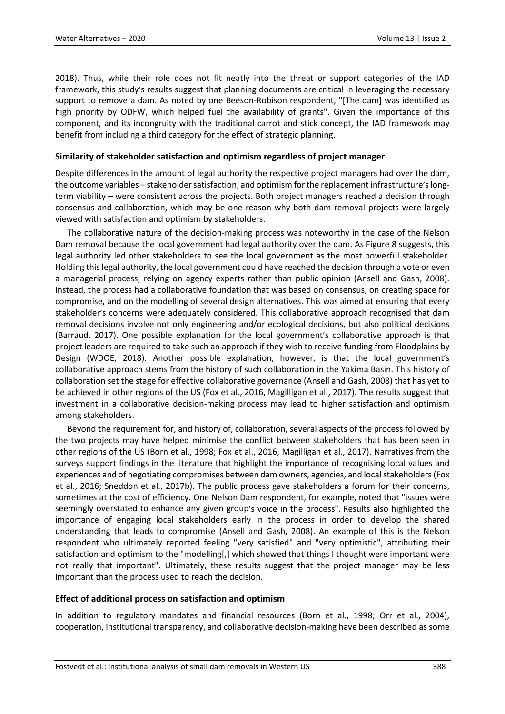2018). Thus, while their role does not fit neatly into the threat or support categories of the IAD framework, this study's results suggest that planning documents are critical in leveraging the necessary support to remove a dam. As noted by one Beeson-Robison respondent, "[The dam] was identified as high priority by ODFW, which helped fuel the availability of grants". Given the importance of this component, and its incongruity with the traditional carrot and stick concept, the IAD framework may benefit from including a third category for the effect of strategic planning.

# **Similarity of stakeholder satisfaction and optimism regardless of project manager**

Despite differences in the amount of legal authority the respective project managers had over the dam, the outcome variables – stakeholder satisfaction, and optimism for the replacement infrastructure's longterm viability – were consistent across the projects. Both project managers reached a decision through consensus and collaboration, which may be one reason why both dam removal projects were largely viewed with satisfaction and optimism by stakeholders.

The collaborative nature of the decision-making process was noteworthy in the case of the Nelson Dam removal because the local government had legal authority over the dam. As Figure 8 suggests, this legal authority led other stakeholders to see the local government as the most powerful stakeholder. Holding this legal authority, the local government could have reached the decision through a vote or even a managerial process, relying on agency experts rather than public opinion (Ansell and Gash, 2008). Instead, the process had a collaborative foundation that was based on consensus, on creating space for compromise, and on the modelling of several design alternatives. This was aimed at ensuring that every stakeholder's concerns were adequately considered. This collaborative approach recognised that dam removal decisions involve not only engineering and/or ecological decisions, but also political decisions (Barraud, 2017). One possible explanation for the local government's collaborative approach is that project leaders are required to take such an approach if they wish to receive funding from Floodplains by Design (WDOE, 2018). Another possible explanation, however, is that the local government's collaborative approach stems from the history of such collaboration in the Yakima Basin. This history of collaboration set the stage for effective collaborative governance (Ansell and Gash, 2008) that has yet to be achieved in other regions of the US (Fox et al., 2016, Magilligan et al., 2017). The results suggest that investment in a collaborative decision-making process may lead to higher satisfaction and optimism among stakeholders.

Beyond the requirement for, and history of, collaboration, several aspects of the process followed by the two projects may have helped minimise the conflict between stakeholders that has been seen in other regions of the US (Born et al., 1998; Fox et al., 2016, Magilligan et al., 2017). Narratives from the surveys support findings in the literature that highlight the importance of recognising local values and experiences and of negotiating compromises between dam owners, agencies, and local stakeholders (Fox et al., 2016; Sneddon et al., 2017b). The public process gave stakeholders a forum for their concerns, sometimes at the cost of efficiency. One Nelson Dam respondent, for example, noted that "issues were seemingly overstated to enhance any given group's voice in the process". Results also highlighted the importance of engaging local stakeholders early in the process in order to develop the shared understanding that leads to compromise (Ansell and Gash, 2008). An example of this is the Nelson respondent who ultimately reported feeling "very satisfied" and "very optimistic", attributing their satisfaction and optimism to the "modelling[,] which showed that things I thought were important were not really that important". Ultimately, these results suggest that the project manager may be less important than the process used to reach the decision.

# **Effect of additional process on satisfaction and optimism**

In addition to regulatory mandates and financial resources (Born et al., 1998; Orr et al., 2004), cooperation, institutional transparency, and collaborative decision-making have been described as some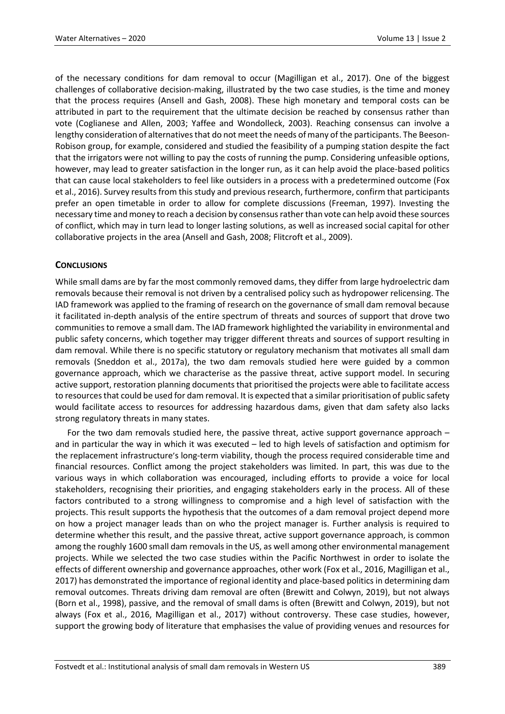of the necessary conditions for dam removal to occur (Magilligan et al., 2017). One of the biggest challenges of collaborative decision-making, illustrated by the two case studies, is the time and money that the process requires (Ansell and Gash, 2008). These high monetary and temporal costs can be attributed in part to the requirement that the ultimate decision be reached by consensus rather than vote (Coglianese and Allen, 2003; Yaffee and Wondolleck, 2003). Reaching consensus can involve a lengthy consideration of alternatives that do not meet the needs of many of the participants. The Beeson-Robison group, for example, considered and studied the feasibility of a pumping station despite the fact that the irrigators were not willing to pay the costs of running the pump. Considering unfeasible options, however, may lead to greater satisfaction in the longer run, as it can help avoid the place-based politics that can cause local stakeholders to feel like outsiders in a process with a predetermined outcome (Fox et al., 2016). Survey results from this study and previous research, furthermore, confirm that participants prefer an open timetable in order to allow for complete discussions (Freeman, 1997). Investing the necessary time and money to reach a decision by consensus rather than vote can help avoid these sources of conflict, which may in turn lead to longer lasting solutions, as well as increased social capital for other collaborative projects in the area (Ansell and Gash, 2008; Flitcroft et al., 2009).

# **CONCLUSIONS**

While small dams are by far the most commonly removed dams, they differ from large hydroelectric dam removals because their removal is not driven by a centralised policy such as hydropower relicensing. The IAD framework was applied to the framing of research on the governance of small dam removal because it facilitated in-depth analysis of the entire spectrum of threats and sources of support that drove two communities to remove a small dam. The IAD framework highlighted the variability in environmental and public safety concerns, which together may trigger different threats and sources of support resulting in dam removal. While there is no specific statutory or regulatory mechanism that motivates all small dam removals (Sneddon et al., 2017a), the two dam removals studied here were guided by a common governance approach, which we characterise as the passive threat, active support model. In securing active support, restoration planning documents that prioritised the projects were able to facilitate access to resources that could be used for dam removal. It is expected that a similar prioritisation of public safety would facilitate access to resources for addressing hazardous dams, given that dam safety also lacks strong regulatory threats in many states.

For the two dam removals studied here, the passive threat, active support governance approach – and in particular the way in which it was executed – led to high levels of satisfaction and optimism for the replacement infrastructure's long-term viability, though the process required considerable time and financial resources. Conflict among the project stakeholders was limited. In part, this was due to the various ways in which collaboration was encouraged, including efforts to provide a voice for local stakeholders, recognising their priorities, and engaging stakeholders early in the process. All of these factors contributed to a strong willingness to compromise and a high level of satisfaction with the projects. This result supports the hypothesis that the outcomes of a dam removal project depend more on how a project manager leads than on who the project manager is. Further analysis is required to determine whether this result, and the passive threat, active support governance approach, is common among the roughly 1600 small dam removals in the US, as well among other environmental management projects. While we selected the two case studies within the Pacific Northwest in order to isolate the effects of different ownership and governance approaches, other work (Fox et al., 2016, Magilligan et al., 2017) has demonstrated the importance of regional identity and place-based politics in determining dam removal outcomes. Threats driving dam removal are often (Brewitt and Colwyn, 2019), but not always (Born et al., 1998), passive, and the removal of small dams is often (Brewitt and Colwyn, 2019), but not always (Fox et al., 2016, Magilligan et al., 2017) without controversy. These case studies, however, support the growing body of literature that emphasises the value of providing venues and resources for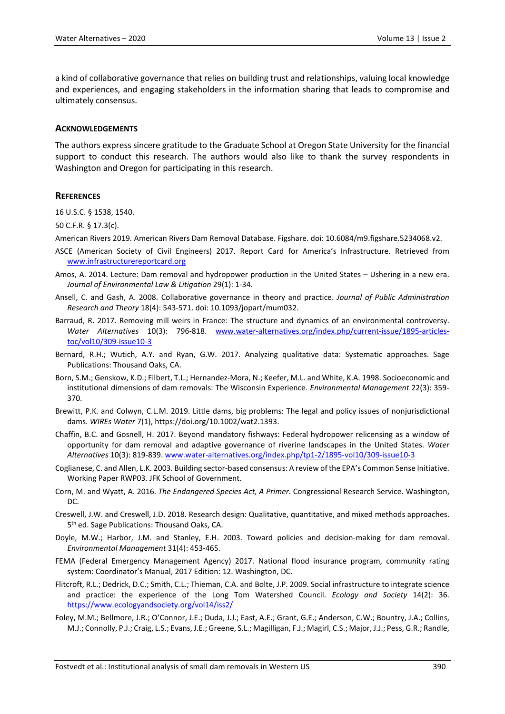a kind of collaborative governance that relies on building trust and relationships, valuing local knowledge and experiences, and engaging stakeholders in the information sharing that leads to compromise and ultimately consensus.

# **ACKNOWLEDGEMENTS**

The authors express sincere gratitude to the Graduate School at Oregon State University for the financial support to conduct this research. The authors would also like to thank the survey respondents in Washington and Oregon for participating in this research.

#### **REFERENCES**

16 U.S.C. § 1538, 1540.

50 C.F.R. § 17.3(c).

American Rivers 2019. American Rivers Dam Removal Database. Figshare. doi: 10.6084/m9.figshare.5234068.v2.

- ASCE (American Society of Civil Engineers) 2017. Report Card for America's Infrastructure. Retrieved from [www.infrastructurereportcard.org](http://www.infrastructurereportcard.org/)
- Amos, A. 2014. Lecture: Dam removal and hydropower production in the United States Ushering in a new era. *Journal of Environmental Law & Litigation* 29(1): 1-34.
- Ansell, C. and Gash, A. 2008. Collaborative governance in theory and practice. *Journal of Public Administration Research and Theory* 18(4): 543-571. doi: 10.1093/jopart/mum032.
- Barraud, R. 2017. Removing mill weirs in France: The structure and dynamics of an environmental controversy. *Water Alternatives* 10(3): 796-818. [www.water-alternatives.org/index.php/current-issue/1895-articles](http://www.water-alternatives.org/index.php/current-issue/1895-articles-toc/vol10/309-issue10-3)[toc/vol10/309-issue10-3](http://www.water-alternatives.org/index.php/current-issue/1895-articles-toc/vol10/309-issue10-3)
- Bernard, R.H.; Wutich, A.Y. and Ryan, G.W. 2017. Analyzing qualitative data: Systematic approaches. Sage Publications: Thousand Oaks, CA.
- Born, S.M.; Genskow, K.D.; Filbert, T.L.; Hernandez-Mora, N.; Keefer, M.L. and White, K.A. 1998. Socioeconomic and institutional dimensions of dam removals: The Wisconsin Experience. *Environmental Management* 22(3): 359- 370.
- Brewitt, P.K. and Colwyn, C.L.M. 2019. Little dams, big problems: The legal and policy issues of nonjurisdictional dams. *WIREs Water* 7(1), https://doi.org/10.1002/wat2.1393.
- Chaffin, B.C. and Gosnell, H. 2017. Beyond mandatory fishways: Federal hydropower relicensing as a window of opportunity for dam removal and adaptive governance of riverine landscapes in the United States. *Water Alternatives* 10(3): 819-839. [www.water-alternatives.org/index.php/tp1-2/1895-vol10/309-issue10-3](http://www.water-alternatives.org/index.php/tp1-2/1895-vol10/309-issue10-3)
- Coglianese, C. and Allen, L.K. 2003. Building sector-based consensus: A review of the EPA's Common Sense Initiative. Working Paper RWP03. JFK School of Government.
- Corn, M. and Wyatt, A. 2016. *The Endangered Species Act, A Primer*. Congressional Research Service. Washington, DC.
- Creswell, J.W. and Creswell, J.D. 2018. Research design: Qualitative, quantitative, and mixed methods approaches. 5th ed. Sage Publications: Thousand Oaks, CA.
- Doyle, M.W.; Harbor, J.M. and Stanley, E.H. 2003. Toward policies and decision-making for dam removal. *Environmental Management* 31(4): 453-465.
- FEMA (Federal Emergency Management Agency) 2017. National flood insurance program, community rating system: Coordinator's Manual, 2017 Edition: 12. Washington, DC.
- Flitcroft, R.L.; Dedrick, D.C.; Smith, C.L.; Thieman, C.A. and Bolte, J.P. 2009. Social infrastructure to integrate science and practice: the experience of the Long Tom Watershed Council. *Ecology and Society* 14(2): 36. <https://www.ecologyandsociety.org/vol14/iss2/>
- Foley, M.M.; Bellmore, J.R.; O'Connor, J.E.; Duda, J.J.; East, A.E.; Grant, G.E.; Anderson, C.W.; Bountry, J.A.; Collins, M.J.; Connolly, P.J.; Craig, L.S.; Evans, J.E.; Greene, S.L.; Magilligan, F.J.; Magirl, C.S.; Major, J.J.; Pess, G.R.; Randle,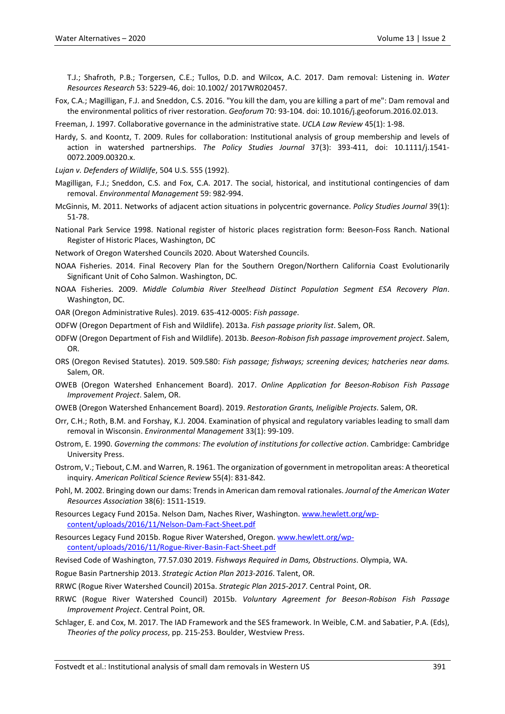T.J.; Shafroth, P.B.; Torgersen, C.E.; Tullos, D.D. and Wilcox, A.C. 2017. Dam removal: Listening in. *Water Resources Research* 53: 5229-46, doi: 10.1002/ 2017WR020457.

Fox, C.A.; Magilligan, F.J. and Sneddon, C.S. 2016. "You kill the dam, you are killing a part of me": Dam removal and the environmental politics of river restoration. *Geoforum* 70: 93-104. doi: 10.1016/j.geoforum.2016.02.013.

Freeman, J. 1997. Collaborative governance in the administrative state. *UCLA Law Review* 45(1): 1-98.

- Hardy, S. and Koontz, T. 2009. Rules for collaboration: Institutional analysis of group membership and levels of action in watershed partnerships. *The Policy Studies Journal* 37(3): 393-411, doi: 10.1111/j.1541- 0072.2009.00320.x.
- *Lujan v. Defenders of Wildlife*, 504 U.S. 555 (1992).
- Magilligan, F.J.; Sneddon, C.S. and Fox, C.A. 2017. The social, historical, and institutional contingencies of dam removal. *Environmental Management* 59: 982-994.
- McGinnis, M. 2011. Networks of adjacent action situations in polycentric governance. *Policy Studies Journal* 39(1): 51-78.
- National Park Service 1998. National register of historic places registration form: Beeson-Foss Ranch. National Register of Historic Places, Washington, DC
- Network of Oregon Watershed Councils 2020. About Watershed Councils.
- NOAA Fisheries. 2014. Final Recovery Plan for the Southern Oregon/Northern California Coast Evolutionarily Significant Unit of Coho Salmon. Washington, DC.
- NOAA Fisheries. 2009. *Middle Columbia River Steelhead Distinct Population Segment ESA Recovery Plan*. Washington, DC.
- OAR (Oregon Administrative Rules). 2019. 635-412-0005: *Fish passage*.
- ODFW (Oregon Department of Fish and Wildlife). 2013a. *Fish passage priority list*. Salem, OR.
- ODFW (Oregon Department of Fish and Wildlife). 2013b. *Beeson-Robison fish passage improvement project*. Salem, OR.
- ORS (Oregon Revised Statutes). 2019. 509.580: *Fish passage; fishways; screening devices; hatcheries near dams.* Salem, OR.
- OWEB (Oregon Watershed Enhancement Board). 2017. *Online Application for Beeson-Robison Fish Passage Improvement Project*. Salem, OR.
- OWEB (Oregon Watershed Enhancement Board). 2019. *Restoration Grants, Ineligible Projects*. Salem, OR.
- Orr, C.H.; Roth, B.M. and Forshay, K.J. 2004. Examination of physical and regulatory variables leading to small dam removal in Wisconsin. *Environmental Management* 33(1): 99-109.
- Ostrom, E. 1990. *Governing the commons: The evolution of institutions for collective action*. Cambridge: Cambridge University Press.
- Ostrom, V.; Tiebout, C.M. and Warren, R. 1961. The organization of government in metropolitan areas: A theoretical inquiry. *American Political Science Review* 55(4): 831-842.
- Pohl, M. 2002. Bringing down our dams: Trends in American dam removal rationales. *Journal of the American Water Resources Association* 38(6): 1511-1519.
- Resources Legacy Fund 2015a. Nelson Dam, Naches River, Washington[. www.hewlett.org/wp](http://www.hewlett.org/wp-content/uploads/2016/11/Nelson-Dam-Fact-Sheet.pdf)[content/uploads/2016/11/Nelson-Dam-Fact-Sheet.pdf](http://www.hewlett.org/wp-content/uploads/2016/11/Nelson-Dam-Fact-Sheet.pdf)
- Resources Legacy Fund 2015b. Rogue River Watershed, Oregon. [www.hewlett.org/wp](http://www.hewlett.org/wp-content/uploads/2016/11/Rogue-River-Basin-Fact-Sheet.pdf)[content/uploads/2016/11/Rogue-River-Basin-Fact-Sheet.pdf](http://www.hewlett.org/wp-content/uploads/2016/11/Rogue-River-Basin-Fact-Sheet.pdf)
- Revised Code of Washington, 77.57.030 2019. *Fishways Required in Dams, Obstructions*. Olympia, WA.
- Rogue Basin Partnership 2013. *Strategic Action Plan 2013-2016*. Talent, OR.
- RRWC (Rogue River Watershed Council) 2015a. *Strategic Plan 2015-2017*. Central Point, OR.
- RRWC (Rogue River Watershed Council) 2015b. *Voluntary Agreement for Beeson-Robison Fish Passage Improvement Project*. Central Point, OR.
- Schlager, E. and Cox, M. 2017. The IAD Framework and the SES framework. In Weible, C.M. and Sabatier, P.A. (Eds), *Theories of the policy process*, pp. 215-253. Boulder, Westview Press.